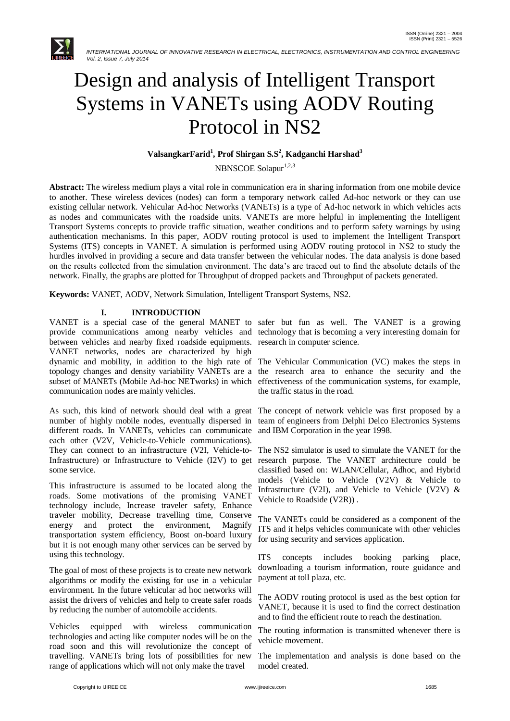

# Design and analysis of Intelligent Transport Systems in VANETs using AODV Routing Protocol in NS2

## **ValsangkarFarid<sup>1</sup> , Prof Shirgan S.S<sup>2</sup> , Kadganchi Harshad<sup>3</sup>**

NBNSCOE Solapur<sup>1,2,3</sup>

**Abstract:** The wireless medium plays a vital role in communication era in sharing information from one mobile device to another. These wireless devices (nodes) can form a temporary network called Ad-hoc network or they can use existing cellular network. Vehicular Ad-hoc Networks (VANETs) is a type of Ad-hoc network in which vehicles acts as nodes and communicates with the roadside units. VANETs are more helpful in implementing the Intelligent Transport Systems concepts to provide traffic situation, weather conditions and to perform safety warnings by using authentication mechanisms. In this paper, AODV routing protocol is used to implement the Intelligent Transport Systems (ITS) concepts in VANET. A simulation is performed using AODV routing protocol in NS2 to study the hurdles involved in providing a secure and data transfer between the vehicular nodes. The data analysis is done based on the results collected from the simulation environment. The data's are traced out to find the absolute details of the network. Finally, the graphs are plotted for Throughput of dropped packets and Throughput of packets generated.

**Keywords:** VANET, AODV, Network Simulation, Intelligent Transport Systems, NS2.

## **I. INTRODUCTION**

VANET is a special case of the general MANET to safer but fun as well. The VANET is a growing provide communications among nearby vehicles and technology that is becoming a very interesting domain for between vehicles and nearby fixed roadside equipments. research in computer science. VANET networks, nodes are characterized by high dynamic and mobility, in addition to the high rate of The Vehicular Communication (VC) makes the steps in topology changes and density variability VANETs are a the research area to enhance the security and the subset of MANETs (Mobile Ad-hoc NETworks) in which effectiveness of the communication systems, for example, communication nodes are mainly vehicles.

As such, this kind of network should deal with a great number of highly mobile nodes, eventually dispersed in different roads. In VANETs, vehicles can communicate each other (V2V, Vehicle-to-Vehicle communications). They can connect to an infrastructure (V2I, Vehicle-to-Infrastructure) or Infrastructure to Vehicle (I2V) to get some service.

This infrastructure is assumed to be located along the roads. Some motivations of the promising VANET technology include, Increase traveler safety, Enhance traveler mobility, Decrease travelling time, Conserve energy and protect the environment, Magnify transportation system efficiency, Boost on-board luxury but it is not enough many other services can be served by using this technology.

The goal of most of these projects is to create new network algorithms or modify the existing for use in a vehicular environment. In the future vehicular ad hoc networks will assist the drivers of vehicles and help to create safer roads by reducing the number of automobile accidents.

Vehicles equipped with wireless communication technologies and acting like computer nodes will be on the road soon and this will revolutionize the concept of travelling. VANETs bring lots of possibilities for new range of applications which will not only make the travel

the traffic status in the road.

The concept of network vehicle was first proposed by a team of engineers from Delphi Delco Electronics Systems and IBM Corporation in the year 1998.

The NS2 simulator is used to simulate the VANET for the research purpose. The VANET architecture could be classified based on: WLAN/Cellular, Adhoc, and Hybrid models (Vehicle to Vehicle (V2V) & Vehicle to Infrastructure (V2I), and Vehicle to Vehicle (V2V)  $\&$ Vehicle to Roadside (V2R)) .

The VANETs could be considered as a component of the ITS and it helps vehicles communicate with other vehicles for using security and services application.

ITS concepts includes booking parking place, downloading a tourism information, route guidance and payment at toll plaza, etc.

The AODV routing protocol is used as the best option for VANET, because it is used to find the correct destination and to find the efficient route to reach the destination.

The routing information is transmitted whenever there is vehicle movement.

The implementation and analysis is done based on the model created.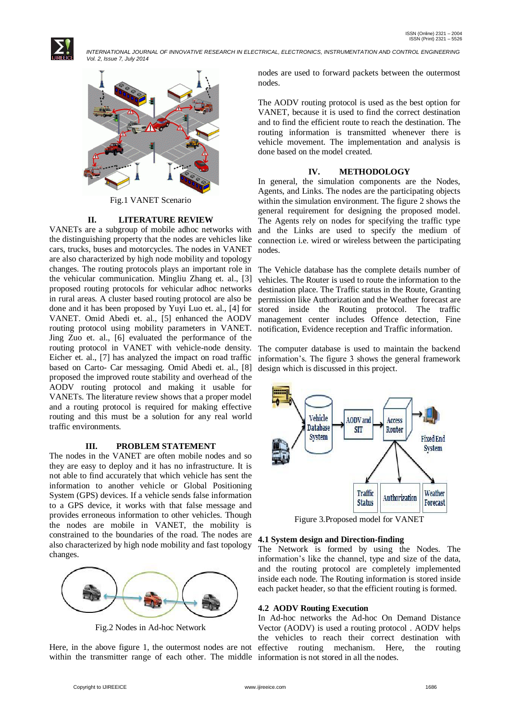



Fig.1 VANET Scenario

#### **II. LITERATURE REVIEW**

VANETs are a subgroup of mobile adhoc networks with the distinguishing property that the nodes are vehicles like cars, trucks, buses and motorcycles. The nodes in VANET are also characterized by high node mobility and topology changes. The routing protocols plays an important role in the vehicular communication. Mingliu Zhang et. al., [3] proposed routing protocols for vehicular adhoc networks in rural areas. A cluster based routing protocol are also be done and it has been proposed by Yuyi Luo et. al., [4] for VANET. Omid Abedi et. al., [5] enhanced the AODV routing protocol using mobility parameters in VANET. Jing Zuo et. al., [6] evaluated the performance of the routing protocol in VANET with vehicle-node density. Eicher et. al., [7] has analyzed the impact on road traffic based on Carto- Car messaging. Omid Abedi et. al., [8] proposed the improved route stability and overhead of the AODV routing protocol and making it usable for VANETs. The literature review shows that a proper model and a routing protocol is required for making effective routing and this must be a solution for any real world traffic environments.

## **III. PROBLEM STATEMENT**

The nodes in the VANET are often mobile nodes and so they are easy to deploy and it has no infrastructure. It is not able to find accurately that which vehicle has sent the information to another vehicle or Global Positioning System (GPS) devices. If a vehicle sends false information to a GPS device, it works with that false message and provides erroneous information to other vehicles. Though the nodes are mobile in VANET, the mobility is constrained to the boundaries of the road. The nodes are also characterized by high node mobility and fast topology changes.



Fig.2 Nodes in Ad-hoc Network

within the transmitter range of each other. The middle information is not stored in all the nodes.

nodes are used to forward packets between the outermost nodes.

The AODV routing protocol is used as the best option for VANET, because it is used to find the correct destination and to find the efficient route to reach the destination. The routing information is transmitted whenever there is vehicle movement. The implementation and analysis is done based on the model created.

### **IV. METHODOLOGY**

In general, the simulation components are the Nodes, Agents, and Links. The nodes are the participating objects within the simulation environment. The figure 2 shows the general requirement for designing the proposed model. The Agents rely on nodes for specifying the traffic type and the Links are used to specify the medium of connection i.e. wired or wireless between the participating nodes.

The Vehicle database has the complete details number of vehicles. The Router is used to route the information to the destination place. The Traffic status in the Route, Granting permission like Authorization and the Weather forecast are stored inside the Routing protocol. The traffic management center includes Offence detection, Fine notification, Evidence reception and Traffic information.

The computer database is used to maintain the backend information's. The figure 3 shows the general framework design which is discussed in this project.



Figure 3.Proposed model for VANET

#### **4.1 System design and Direction-finding**

The Network is formed by using the Nodes. The information's like the channel, type and size of the data, and the routing protocol are completely implemented inside each node. The Routing information is stored inside each packet header, so that the efficient routing is formed.

#### **4.2 AODV Routing Execution**

Here, in the above figure 1, the outermost nodes are not effective routing mechanism. Here, the routing In Ad-hoc networks the Ad-hoc On Demand Distance Vector (AODV) is used a routing protocol . AODV helps the vehicles to reach their correct destination with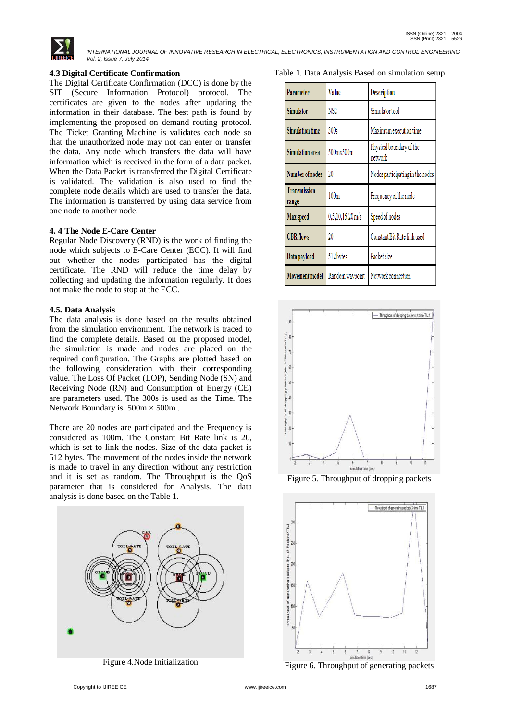

## **4.3 Digital Certificate Confirmation**

The Digital Certificate Confirmation (DCC) is done by the SIT (Secure Information Protocol) protocol. The certificates are given to the nodes after updating the information in their database. The best path is found by implementing the proposed on demand routing protocol. The Ticket Granting Machine is validates each node so that the unauthorized node may not can enter or transfer the data. Any node which transfers the data will have information which is received in the form of a data packet. When the Data Packet is transferred the Digital Certificate is validated. The validation is also used to find the complete node details which are used to transfer the data. The information is transferred by using data service from one node to another node.

## **4. 4 The Node E-Care Center**

Regular Node Discovery (RND) is the work of finding the node which subjects to E-Care Center (ECC). It will find out whether the nodes participated has the digital certificate. The RND will reduce the time delay by collecting and updating the information regularly. It does not make the node to stop at the ECC.

## **4.5. Data Analysis**

The data analysis is done based on the results obtained from the simulation environment. The network is traced to find the complete details. Based on the proposed model, the simulation is made and nodes are placed on the required configuration. The Graphs are plotted based on the following consideration with their corresponding value. The Loss Of Packet (LOP), Sending Node (SN) and Receiving Node (RN) and Consumption of Energy (CE) are parameters used. The 300s is used as the Time. The Network Boundary is  $500m \times 500m$ .

There are 20 nodes are participated and the Frequency is considered as 100m. The Constant Bit Rate link is 20, which is set to link the nodes. Size of the data packet is 512 bytes. The movement of the nodes inside the network is made to travel in any direction without any restriction and it is set as random. The Throughput is the QoS parameter that is considered for Analysis. The data analysis is done based on the Table 1.



Figure 4.Node Initialization

|  |  | Table 1. Data Analysis Based on simulation setup |
|--|--|--------------------------------------------------|
|--|--|--------------------------------------------------|

| Parameter                    | Value                         | <b>Description</b>                  |
|------------------------------|-------------------------------|-------------------------------------|
| <b>Simulator</b>             | NS2                           | Simulator tool                      |
| <b>Simulation time</b>       | 300s                          | Maximum execution time              |
| <b>Simulation area</b>       | 500mx500m                     | Physical boundary of the<br>network |
| Number of nodes              | 20                            | Nodes participating in the nodes    |
| <b>Transmission</b><br>range | 100m                          | Frequency of the node               |
| Max speed                    | $0,5,10,15,20 \,\mathrm{m/s}$ | Speed of nodes                      |
| <b>CBR</b> flows             | 20                            | Constant Bit Rate link used         |
| Data payload                 | 512 bytes                     | Packet size                         |
| Movement model               | Random waypoint               | Network connection                  |



Figure 5. Throughput of dropping packets



Figure 6. Throughput of generating packets